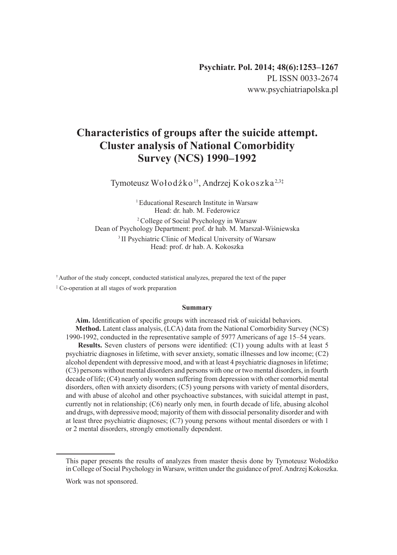# **Characteristics of groups after the suicide attempt. Cluster analysis of National Comorbidity Survey (NCS) 1990–1992**

Tymoteusz Wołodźko<sup>1†</sup>, Andrzej Kokoszka<sup>2,3‡</sup>

<sup>1</sup> Educational Research Institute in Warsaw Head: dr. hab. M. Federowicz 2 College of Social Psychology in Warsaw Dean of Psychology Department: prof. dr hab. M. Marszał-Wiśniewska <sup>3</sup> II Psychiatric Clinic of Medical University of Warsaw Head: prof. dr hab. A. Kokoszka

† Author of the study concept, conducted statistical analyzes, prepared the text of the paper

‡ Co-operation at all stages of work preparation

#### **Summary**

**Aim.** Identification of specific groups with increased risk of suicidal behaviors. **Method.** Latent class analysis, (LCA) data from the National Comorbidity Survey (NCS) 1990-1992, conducted in the representative sample of 5977 Americans of age 15–54 years.

**Results.** Seven clusters of persons were identified: (C1) young adults with at least 5 psychiatric diagnoses in lifetime, with sever anxiety, somatic illnesses and low income; (C2) alcohol dependent with depressive mood, and with at least 4 psychiatric diagnoses in lifetime; (C3) persons without mental disorders and persons with one or two mental disorders, in fourth decade of life; (C4) nearly only women suffering from depression with other comorbid mental disorders, often with anxiety disorders; (C5) young persons with variety of mental disorders, and with abuse of alcohol and other psychoactive substances, with suicidal attempt in past, currently not in relationship; (C6) nearly only men, in fourth decade of life, abusing alcohol and drugs, with depressive mood; majority of them with dissocial personality disorder and with at least three psychiatric diagnoses; (C7) young persons without mental disorders or with 1 or 2 mental disorders, strongly emotionally dependent.

This paper presents the results of analyzes from master thesis done by Tymoteusz Wołodźko in College of Social Psychology inWarsaw, written under the guidance of prof. Andrzej Kokoszka.

Work was not sponsored.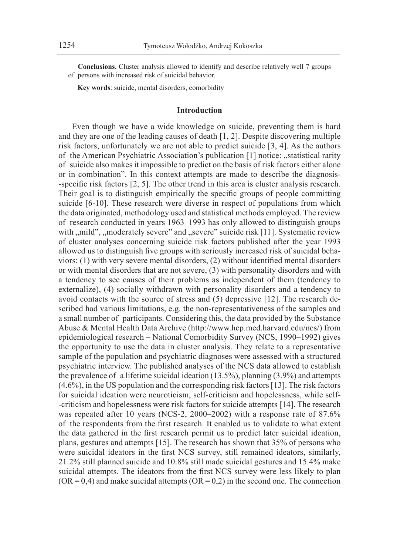**Conclusions.** Cluster analysis allowed to identify and describe relatively well 7 groups of persons with increased risk of suicidal behavior.

**Key words**: suicide, mental disorders, comorbidity

#### **Introduction**

Even though we have a wide knowledge on suicide, preventing them is hard and they are one of the leading causes of death [1, 2]. Despite discovering multiple risk factors, unfortunately we are not able to predict suicide [3, 4]. As the authors of the American Psychiatric Association's publication [1] notice: "statistical rarity of suicide also makes it impossible to predict on the basis of risk factors either alone or in combination". In this context attempts are made to describe the diagnosis- -specific risk factors [2, 5]. The other trend in this area is cluster analysis research. Their goal is to distinguish empirically the specific groups of people committing suicide [6-10]. These research were diverse in respect of populations from which the data originated, methodology used and statistical methods employed. The review of research conducted in years 1963–1993 has only allowed to distinguish groups with "mild", "moderately severe" and "severe" suicide risk [11]. Systematic review of cluster analyses concerning suicide risk factors published after the year 1993 allowed us to distinguish five groups with seriously increased risk of suicidal behaviors: (1) with very severe mental disorders, (2) without identified mental disorders or with mental disorders that are not severe, (3) with personality disorders and with a tendency to see causes of their problems as independent of them (tendency to externalize), (4) socially withdrawn with personality disorders and a tendency to avoid contacts with the source of stress and (5) depressive [12]. The research described had various limitations, e.g. the non-representativeness of the samples and a small number of participants. Considering this, the data provided by the Substance Abuse & Mental Health Data Archive (http://www.hcp.med.harvard.edu/ncs/) from epidemiological research – National Comorbidity Survey (NCS, 1990–1992) gives the opportunity to use the data in cluster analysis. They relate to a representative sample of the population and psychiatric diagnoses were assessed with a structured psychiatric interview. The published analyses of the NCS data allowed to establish the prevalence of a lifetime suicidal ideation (13.5%), planning (3.9%) and attempts (4.6%), in the US population and the corresponding risk factors [13]. The risk factors for suicidal ideation were neuroticism, self-criticism and hopelessness, while self- -criticism and hopelessness were risk factors for suicide attempts [14]. The research was repeated after 10 years (NCS-2, 2000–2002) with a response rate of 87.6% of the respondents from the first research. It enabled us to validate to what extent the data gathered in the first research permit us to predict later suicidal ideation, plans, gestures and attempts [15]. The research has shown that 35% of persons who were suicidal ideators in the first NCS survey, still remained ideators, similarly, 21.2% still planned suicide and 10.8% still made suicidal gestures and 15.4% make suicidal attempts. The ideators from the first NCS survey were less likely to plan  $(OR = 0, 4)$  and make suicidal attempts  $(OR = 0, 2)$  in the second one. The connection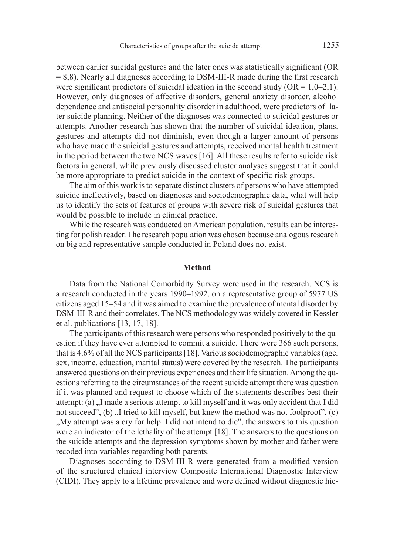between earlier suicidal gestures and the later ones was statistically significant (OR = 8,8). Nearly all diagnoses according to DSM-III-R made during the first research were significant predictors of suicidal ideation in the second study ( $OR = 1, 0-2, 1$ ). However, only diagnoses of affective disorders, general anxiety disorder, alcohol dependence and antisocial personality disorder in adulthood, were predictors of later suicide planning. Neither of the diagnoses was connected to suicidal gestures or attempts. Another research has shown that the number of suicidal ideation, plans, gestures and attempts did not diminish, even though a larger amount of persons who have made the suicidal gestures and attempts, received mental health treatment in the period between the two NCS waves [16]. All these results refer to suicide risk factors in general, while previously discussed cluster analyses suggest that it could be more appropriate to predict suicide in the context of specific risk groups.

The aim of this work is to separate distinct clusters of persons who have attempted suicide ineffectively, based on diagnoses and sociodemographic data, what will help us to identify the sets of features of groups with severe risk of suicidal gestures that would be possible to include in clinical practice.

While the research was conducted on American population, results can be interesting for polish reader. The research population was chosen because analogous research on big and representative sample conducted in Poland does not exist.

#### **Method**

Data from the National Comorbidity Survey were used in the research. NCS is a research conducted in the years 1990–1992, on a representative group of 5977 US citizens aged 15–54 and it was aimed to examine the prevalence of mental disorder by DSM-III-R and their correlates. The NCS methodology was widely covered in Kessler et al. publications [13, 17, 18].

The participants of this research were persons who responded positively to the question if they have ever attempted to commit a suicide. There were 366 such persons, that is 4.6% of all the NCS participants [18]. Various sociodemographic variables (age, sex, income, education, marital status) were covered by the research. The participants answered questions on their previous experiences and their life situation. Among the questions referring to the circumstances of the recent suicide attempt there was question if it was planned and request to choose which of the statements describes best their attempt: (a)  $\overline{N}$  made a serious attempt to kill myself and it was only accident that I did not succeed",  $(b)$ , I tried to kill myself, but knew the method was not foolproof",  $(c)$ "My attempt was a cry for help. I did not intend to die", the answers to this question were an indicator of the lethality of the attempt [18]. The answers to the questions on the suicide attempts and the depression symptoms shown by mother and father were recoded into variables regarding both parents.

Diagnoses according to DSM-III-R were generated from a modified version of the structured clinical interview Composite International Diagnostic Interview (CIDI). They apply to a lifetime prevalence and were defined without diagnostic hie-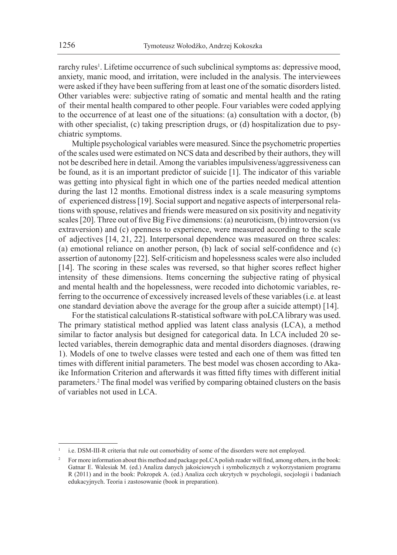rarchy rules<sup>1</sup>. Lifetime occurrence of such subclinical symptoms as: depressive mood, anxiety, manic mood, and irritation, were included in the analysis. The interviewees were asked if they have been suffering from at least one of the somatic disorders listed. Other variables were: subjective rating of somatic and mental health and the rating of their mental health compared to other people. Four variables were coded applying to the occurrence of at least one of the situations: (a) consultation with a doctor, (b) with other specialist, (c) taking prescription drugs, or (d) hospitalization due to psychiatric symptoms.

Multiple psychological variables were measured. Since the psychometric properties of the scales used were estimated on NCS data and described by their authors, they will not be described here in detail. Among the variables impulsiveness/aggressiveness can be found, as it is an important predictor of suicide [1]. The indicator of this variable was getting into physical fight in which one of the parties needed medical attention during the last 12 months. Emotional distress index is a scale measuring symptoms of experienced distress [19]. Social support and negative aspects of interpersonal relations with spouse, relatives and friends were measured on six positivity and negativity scales [20]. Three out of five Big Five dimensions: (a) neuroticism, (b) introversion (vs extraversion) and (c) openness to experience, were measured according to the scale of adjectives [14, 21, 22]. Interpersonal dependence was measured on three scales: (a) emotional reliance on another person, (b) lack of social self-confidence and (c) assertion of autonomy [22]. Self-criticism and hopelessness scales were also included [14]. The scoring in these scales was reversed, so that higher scores reflect higher intensity of these dimensions. Items concerning the subjective rating of physical and mental health and the hopelessness, were recoded into dichotomic variables, referring to the occurrence of excessively increased levels of these variables (i.e. at least one standard deviation above the average for the group after a suicide attempt) [14].

For the statistical calculations R-statistical software with poLCA library was used. The primary statistical method applied was latent class analysis (LCA), a method similar to factor analysis but designed for categorical data. In LCA included 20 selected variables, therein demographic data and mental disorders diagnoses. (drawing 1). Models of one to twelve classes were tested and each one of them was fitted ten times with different initial parameters. The best model was chosen according to Akaike Information Criterion and afterwards it was fitted fifty times with different initial parameters.2 The final model was verified by comparing obtained clusters on the basis of variables not used in LCA.

i.e. DSM-III-R criteria that rule out comorbidity of some of the disorders were not employed.

<sup>&</sup>lt;sup>2</sup> For more information about this method and package poLCA polish reader will find, among others, in the book: Gatnar E. Walesiak M. (ed.) Analiza danych jakościowych i symbolicznych z wykorzystaniem programu R (2011) and in the book: Pokropek A. (ed.) Analiza cech ukrytych w psychologii, socjologii i badaniach edukacyjnych. Teoria i zastosowanie (book in preparation).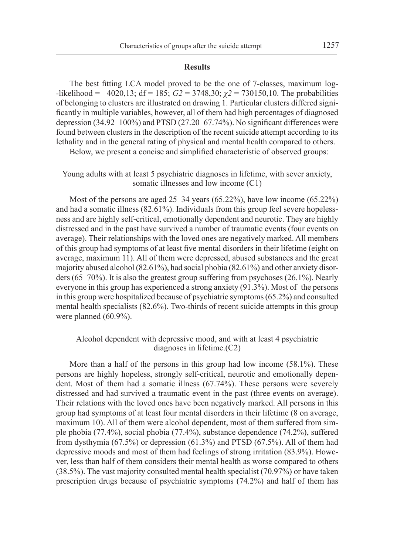## **Results**

The best fitting LCA model proved to be the one of 7-classes, maximum log- -likelihood = −4020,13; df = 185; *G2* = 3748,30; *χ2* = 730150,10. The probabilities of belonging to clusters are illustrated on drawing 1. Particular clusters differed significantly in multiple variables, however, all of them had high percentages of diagnosed depression (34.92–100%) and PTSD (27.20–67.74%). No significant differences were found between clusters in the description of the recent suicide attempt according to its lethality and in the general rating of physical and mental health compared to others.

Below, we present a concise and simplified characteristic of observed groups:

Young adults with at least 5 psychiatric diagnoses in lifetime, with sever anxiety, somatic illnesses and low income (C1)

Most of the persons are aged 25–34 years (65.22%), have low income (65.22%) and had a somatic illness (82.61%). Individuals from this group feel severe hopelessness and are highly self-critical, emotionally dependent and neurotic. They are highly distressed and in the past have survived a number of traumatic events (four events on average). Their relationships with the loved ones are negatively marked. All members of this group had symptoms of at least five mental disorders in their lifetime (eight on average, maximum 11). All of them were depressed, abused substances and the great majority abused alcohol (82.61%), had social phobia (82.61%) and other anxiety disorders (65–70%). It is also the greatest group suffering from psychoses (26.1%). Nearly everyone in this group has experienced a strong anxiety (91.3%). Most of the persons in this group were hospitalized because of psychiatric symptoms (65.2%) and consulted mental health specialists (82.6%). Two-thirds of recent suicide attempts in this group were planned (60.9%).

## Alcohol dependent with depressive mood, and with at least 4 psychiatric diagnoses in lifetime.(C2)

More than a half of the persons in this group had low income (58.1%). These persons are highly hopeless, strongly self-critical, neurotic and emotionally dependent. Most of them had a somatic illness (67.74%). These persons were severely distressed and had survived a traumatic event in the past (three events on average). Their relations with the loved ones have been negatively marked. All persons in this group had symptoms of at least four mental disorders in their lifetime (8 on average, maximum 10). All of them were alcohol dependent, most of them suffered from simple phobia (77.4%), social phobia (77.4%), substance dependence (74.2%), suffered from dysthymia (67.5%) or depression (61.3%) and PTSD (67.5%). All of them had depressive moods and most of them had feelings of strong irritation (83.9%). However, less than half of them considers their mental health as worse compared to others (38.5%). The vast majority consulted mental health specialist (70.97%) or have taken prescription drugs because of psychiatric symptoms (74.2%) and half of them has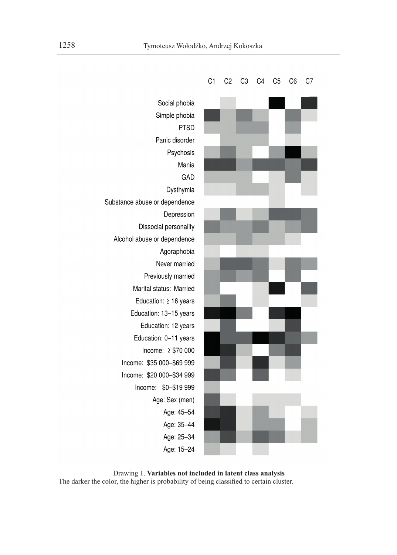

Drawing 1. **Variables not included in latent class analysis** The darker the color, the higher is probability of being classified to certain cluster.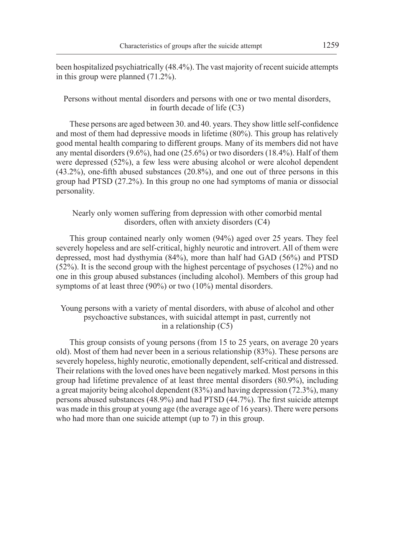been hospitalized psychiatrically (48.4%). The vast majority of recent suicide attempts in this group were planned (71.2%).

## Persons without mental disorders and persons with one or two mental disorders, in fourth decade of life (C3)

These persons are aged between 30. and 40. years. They show little self-confidence and most of them had depressive moods in lifetime (80%). This group has relatively good mental health comparing to different groups. Many of its members did not have any mental disorders  $(9.6\%)$ , had one  $(25.6\%)$  or two disorders  $(18.4\%)$ . Half of them were depressed (52%), a few less were abusing alcohol or were alcohol dependent (43.2%), one-fifth abused substances (20.8%), and one out of three persons in this group had PTSD (27.2%). In this group no one had symptoms of mania or dissocial personality.

## Nearly only women suffering from depression with other comorbid mental disorders, often with anxiety disorders (C4)

This group contained nearly only women (94%) aged over 25 years. They feel severely hopeless and are self-critical, highly neurotic and introvert. All of them were depressed, most had dysthymia (84%), more than half had GAD (56%) and PTSD (52%). It is the second group with the highest percentage of psychoses (12%) and no one in this group abused substances (including alcohol). Members of this group had symptoms of at least three (90%) or two (10%) mental disorders.

## Young persons with a variety of mental disorders, with abuse of alcohol and other psychoactive substances, with suicidal attempt in past, currently not in a relationship (C5)

This group consists of young persons (from 15 to 25 years, on average 20 years old). Most of them had never been in a serious relationship (83%). These persons are severely hopeless, highly neurotic, emotionally dependent, self-critical and distressed. Their relations with the loved ones have been negatively marked. Most persons in this group had lifetime prevalence of at least three mental disorders (80.9%), including a great majority being alcohol dependent (83%) and having depression (72.3%), many persons abused substances (48.9%) and had PTSD (44.7%). The first suicide attempt was made in this group at young age (the average age of 16 years). There were persons who had more than one suicide attempt (up to 7) in this group.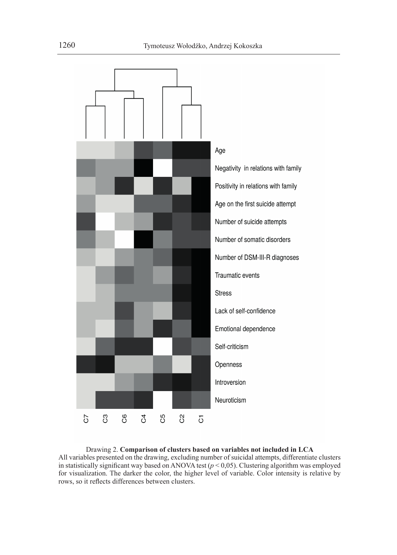

Drawing 2. **Comparison of clusters based on variables not included in LCA** All variables presented on the drawing, excluding number of suicidal attempts, differentiate clusters in statistically significant way based on ANOVA test  $(p < 0.05)$ . Clustering algorithm was employed for visualization. The darker the color, the higher level of variable. Color intensity is relative by rows, so it reflects differences between clusters.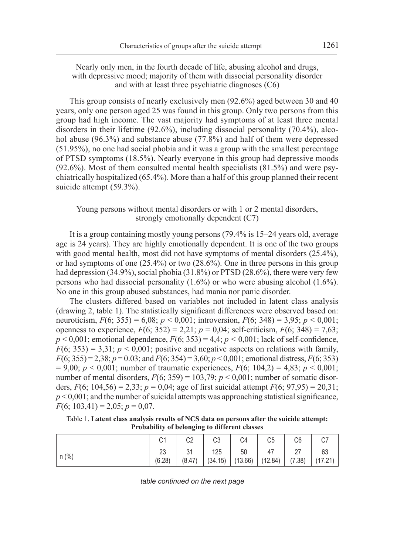Nearly only men, in the fourth decade of life, abusing alcohol and drugs, with depressive mood; majority of them with dissocial personality disorder and with at least three psychiatric diagnoses (C6)

This group consists of nearly exclusively men (92.6%) aged between 30 and 40 years, only one person aged 25 was found in this group. Only two persons from this group had high income. The vast majority had symptoms of at least three mental disorders in their lifetime (92.6%), including dissocial personality (70.4%), alcohol abuse (96.3%) and substance abuse (77.8%) and half of them were depressed (51.95%), no one had social phobia and it was a group with the smallest percentage of PTSD symptoms (18.5%). Nearly everyone in this group had depressive moods (92.6%). Most of them consulted mental health specialists (81.5%) and were psychiatrically hospitalized (65.4%). More than a half of this group planned their recent suicide attempt (59.3%).

Young persons without mental disorders or with 1 or 2 mental disorders, strongly emotionally dependent (C7)

It is a group containing mostly young persons (79.4% is 15–24 years old, average age is 24 years). They are highly emotionally dependent. It is one of the two groups with good mental health, most did not have symptoms of mental disorders  $(25.4\%)$ , or had symptoms of one  $(25.4\%)$  or two  $(28.6\%)$ . One in three persons in this group had depression (34.9%), social phobia (31.8%) or PTSD (28.6%), there were very few persons who had dissocial personality  $(1.6\%)$  or who were abusing alcohol  $(1.6\%)$ . No one in this group abused substances, had mania nor panic disorder.

The clusters differed based on variables not included in latent class analysis (drawing 2, table 1). The statistically significant differences were observed based on: neuroticism,  $F(6; 355) = 6,08; p < 0,001;$  introversion,  $F(6; 348) = 3,95; p < 0,001;$ openness to experience,  $F(6; 352) = 2.21$ ;  $p = 0.04$ ; self-criticism,  $F(6; 348) = 7.63$ ;  $p < 0.001$ ; emotional dependence,  $F(6, 353) = 4.4$ ;  $p < 0.001$ ; lack of self-confidence,  $F(6; 353) = 3.31$ ;  $p < 0.001$ ; positive and negative aspects on relations with family, *F*(6; 355) = 2,38; *p* = 0.03; and *F*(6; 354) = 3,60; *p* < 0,001; emotional distress, *F*(6; 353)  $= 9,00; p < 0,001;$  number of traumatic experiences,  $F(6; 104,2) = 4,83; p < 0,001;$ number of mental disorders,  $F(6; 359) = 103,79$ ;  $p < 0,001$ ; number of somatic disorders,  $F(6; 104, 56) = 2,33$ ;  $p = 0,04$ ; age of first suicidal attempt  $F(6; 97,95) = 20,31$ ;  $p \leq 0.001$ ; and the number of suicidal attempts was approaching statistical significance,  $F(6; 103,41) = 2,05; p = 0,07.$ 

Table 1. **Latent class analysis results of NCS data on persons after the suicide attempt: Probability of belonging to different classes**

|         | $\cap$ | C <sub>2</sub> | C3      | C <sub>4</sub> | C <sub>5</sub> | C6     |         |
|---------|--------|----------------|---------|----------------|----------------|--------|---------|
| $n$ (%) | 23     | 31             | 125     | 50             | 47             | 27     | 63      |
|         | (6.28) | (8.47)         | (34.15) | (13.66)        | (12.84)        | (7.38) | (17.21) |

*table continued on the next page*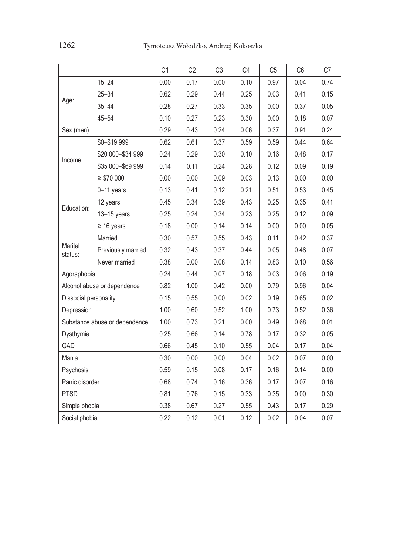|                               |                    | C <sub>1</sub> | C <sub>2</sub> | C <sub>3</sub> | C4   | C <sub>5</sub> | C <sub>6</sub> | C7   |
|-------------------------------|--------------------|----------------|----------------|----------------|------|----------------|----------------|------|
| Age:                          | $15 - 24$          | 0.00           | 0.17           | 0.00           | 0.10 | 0.97           | 0.04           | 0.74 |
|                               | $25 - 34$          | 0.62           | 0.29           | 0.44           | 0.25 | 0.03           | 0.41           | 0.15 |
|                               | $35 - 44$          | 0.28           | 0.27           | 0.33           | 0.35 | 0.00           | 0.37           | 0.05 |
|                               | $45 - 54$          | 0.10           | 0.27           | 0.23           | 0.30 | 0.00           | 0.18           | 0.07 |
| Sex (men)                     |                    | 0.29           | 0.43           | 0.24           | 0.06 | 0.37           | 0.91           | 0.24 |
| Income:                       | \$0-\$19 999       | 0.62           | 0.61           | 0.37           | 0.59 | 0.59           | 0.44           | 0.64 |
|                               | \$20 000-\$34 999  | 0.24           | 0.29           | 0.30           | 0.10 | 0.16           | 0.48           | 0.17 |
|                               | \$35 000-\$69 999  | 0.14           | 0.11           | 0.24           | 0.28 | 0.12           | 0.09           | 0.19 |
|                               | $\geq$ \$70 000    | 0.00           | 0.00           | 0.09           | 0.03 | 0.13           | 0.00           | 0.00 |
| Education:                    | $0-11$ years       | 0.13           | 0.41           | 0.12           | 0.21 | 0.51           | 0.53           | 0.45 |
|                               | 12 years           | 0.45           | 0.34           | 0.39           | 0.43 | 0.25           | 0.35           | 0.41 |
|                               | 13-15 years        | 0.25           | 0.24           | 0.34           | 0.23 | 0.25           | 0.12           | 0.09 |
|                               | $\geq 16$ years    | 0.18           | 0.00           | 0.14           | 0.14 | 0.00           | 0.00           | 0.05 |
| Marital<br>status:            | Married            | 0.30           | 0.57           | 0.55           | 0.43 | 0.11           | 0.42           | 0.37 |
|                               | Previously married | 0.32           | 0.43           | 0.37           | 0.44 | 0.05           | 0.48           | 0.07 |
|                               | Never married      | 0.38           | 0.00           | 0.08           | 0.14 | 0.83           | 0.10           | 0.56 |
| Agoraphobia                   |                    | 0.24           | 0.44           | 0.07           | 0.18 | 0.03           | 0.06           | 0.19 |
| Alcohol abuse or dependence   |                    | 0.82           | 1.00           | 0.42           | 0.00 | 0.79           | 0.96           | 0.04 |
| Dissocial personality         |                    | 0.15           | 0.55           | 0.00           | 0.02 | 0.19           | 0.65           | 0.02 |
| Depression                    |                    | 1.00           | 0.60           | 0.52           | 1.00 | 0.73           | 0.52           | 0.36 |
| Substance abuse or dependence |                    | 1.00           | 0.73           | 0.21           | 0.00 | 0.49           | 0.68           | 0.01 |
| Dysthymia                     |                    | 0.25           | 0.66           | 0.14           | 0.78 | 0.17           | 0.32           | 0.05 |
| GAD                           |                    | 0.66           | 0.45           | 0.10           | 0.55 | 0.04           | 0.17           | 0.04 |
| Mania                         |                    | 0.30           | 0.00           | 0.00           | 0.04 | 0.02           | 0.07           | 0.00 |
| Psychosis                     |                    | 0.59           | 0.15           | 0.08           | 0.17 | 0.16           | 0.14           | 0.00 |
| Panic disorder                |                    | 0.68           | 0.74           | 0.16           | 0.36 | 0.17           | 0.07           | 0.16 |
| <b>PTSD</b>                   |                    | 0.81           | 0.76           | 0.15           | 0.33 | 0.35           | 0.00           | 0.30 |
| Simple phobia                 |                    | 0.38           | 0.67           | 0.27           | 0.55 | 0.43           | 0.17           | 0.29 |
| Social phobia                 |                    | 0.22           | 0.12           | 0.01           | 0.12 | 0.02           | 0.04           | 0.07 |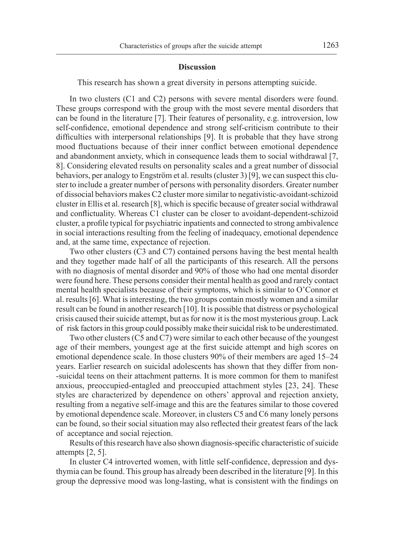#### **Discussion**

This research has shown a great diversity in persons attempting suicide.

In two clusters (C1 and C2) persons with severe mental disorders were found. These groups correspond with the group with the most severe mental disorders that can be found in the literature [7]. Their features of personality, e.g. introversion, low self-confidence, emotional dependence and strong self-criticism contribute to their difficulties with interpersonal relationships [9]. It is probable that they have strong mood fluctuations because of their inner conflict between emotional dependence and abandonment anxiety, which in consequence leads them to social withdrawal [7, 8]. Considering elevated results on personality scales and a great number of dissocial behaviors, per analogy to Engström et al. results (cluster 3) [9], we can suspect this cluster to include a greater number of persons with personality disorders. Greater number of dissocial behaviors makes C2 cluster more similar to negativistic-avoidant-schizoid cluster in Ellis et al. research [8], which is specific because of greater social withdrawal and conflictuality. Whereas C1 cluster can be closer to avoidant-dependent-schizoid cluster, a profile typical for psychiatric inpatients and connected to strong ambivalence in social interactions resulting from the feeling of inadequacy, emotional dependence and, at the same time, expectance of rejection.

Two other clusters (C3 and C7) contained persons having the best mental health and they together made half of all the participants of this research. All the persons with no diagnosis of mental disorder and 90% of those who had one mental disorder were found here. These persons consider their mental health as good and rarely contact mental health specialists because of their symptoms, which is similar to O'Connor et al. results [6]. What is interesting, the two groups contain mostly women and a similar result can be found in another research [10]. It is possible that distress or psychological crisis caused their suicide attempt, but as for now it is the most mysterious group. Lack of risk factors in this group could possibly make their suicidal risk to be underestimated.

Two other clusters (C5 and C7) were similar to each other because of the youngest age of their members, youngest age at the first suicide attempt and high scores on emotional dependence scale. In those clusters 90% of their members are aged 15–24 years. Earlier research on suicidal adolescents has shown that they differ from non- -suicidal teens on their attachment patterns. It is more common for them to manifest anxious, preoccupied-entagled and preoccupied attachment styles [23, 24]. These styles are characterized by dependence on others' approval and rejection anxiety, resulting from a negative self-image and this are the features similar to those covered by emotional dependence scale. Moreover, in clusters C5 and C6 many lonely persons can be found, so their social situation may also reflected their greatest fears of the lack of acceptance and social rejection.

Results of this research have also shown diagnosis-specific characteristic of suicide attempts [2, 5].

In cluster C4 introverted women, with little self-confidence, depression and dysthymia can be found. This group has already been described in the literature [9]. In this group the depressive mood was long-lasting, what is consistent with the findings on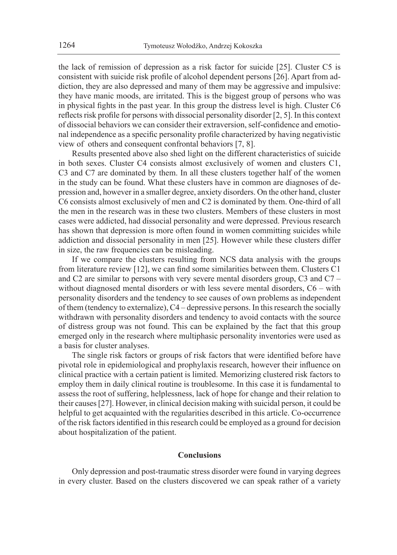the lack of remission of depression as a risk factor for suicide [25]. Cluster C5 is consistent with suicide risk profile of alcohol dependent persons [26]. Apart from addiction, they are also depressed and many of them may be aggressive and impulsive: they have manic moods, are irritated. This is the biggest group of persons who was in physical fights in the past year. In this group the distress level is high. Cluster C6 reflects risk profile for persons with dissocial personality disorder [2, 5]. In this context of dissocial behaviors we can consider their extraversion, self-confidence and emotional independence as a specific personality profile characterized by having negativistic view of others and consequent confrontal behaviors [7, 8].

Results presented above also shed light on the different characteristics of suicide in both sexes. Cluster C4 consists almost exclusively of women and clusters C1, C3 and C7 are dominated by them. In all these clusters together half of the women in the study can be found. What these clusters have in common are diagnoses of depression and, however in a smaller degree, anxiety disorders. On the other hand, cluster C6 consists almost exclusively of men and C2 is dominated by them. One-third of all the men in the research was in these two clusters. Members of these clusters in most cases were addicted, had dissocial personality and were depressed. Previous research has shown that depression is more often found in women committing suicides while addiction and dissocial personality in men [25]. However while these clusters differ in size, the raw frequencies can be misleading.

If we compare the clusters resulting from NCS data analysis with the groups from literature review [12], we can find some similarities between them. Clusters C1 and C2 are similar to persons with very severe mental disorders group, C3 and C7 – without diagnosed mental disorders or with less severe mental disorders, C6 – with personality disorders and the tendency to see causes of own problems as independent of them (tendency to externalize), C4 – depressive persons. In this research the socially withdrawn with personality disorders and tendency to avoid contacts with the source of distress group was not found. This can be explained by the fact that this group emerged only in the research where multiphasic personality inventories were used as a basis for cluster analyses.

The single risk factors or groups of risk factors that were identified before have pivotal role in epidemiological and prophylaxis research, however their influence on clinical practice with a certain patient is limited. Memorizing clustered risk factors to employ them in daily clinical routine is troublesome. In this case it is fundamental to assess the root of suffering, helplessness, lack of hope for change and their relation to their causes [27]. However, in clinical decision making with suicidal person, it could be helpful to get acquainted with the regularities described in this article. Co-occurrence of the risk factors identified in this research could be employed as a ground for decision about hospitalization of the patient.

#### **Conclusions**

Only depression and post-traumatic stress disorder were found in varying degrees in every cluster. Based on the clusters discovered we can speak rather of a variety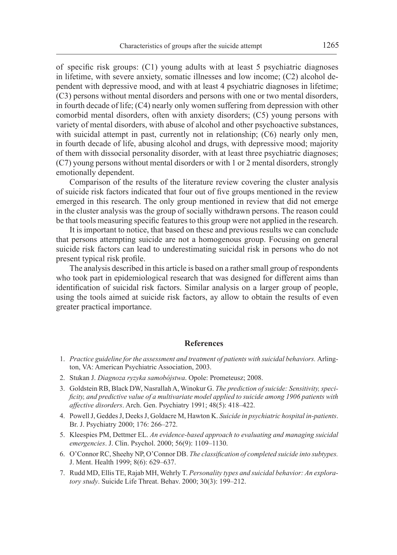of specific risk groups: (C1) young adults with at least 5 psychiatric diagnoses in lifetime, with severe anxiety, somatic illnesses and low income; (C2) alcohol dependent with depressive mood, and with at least 4 psychiatric diagnoses in lifetime; (C3) persons without mental disorders and persons with one or two mental disorders, in fourth decade of life; (C4) nearly only women suffering from depression with other comorbid mental disorders, often with anxiety disorders; (C5) young persons with variety of mental disorders, with abuse of alcohol and other psychoactive substances, with suicidal attempt in past, currently not in relationship; (C6) nearly only men, in fourth decade of life, abusing alcohol and drugs, with depressive mood; majority of them with dissocial personality disorder, with at least three psychiatric diagnoses; (C7) young persons without mental disorders or with 1 or 2 mental disorders, strongly emotionally dependent.

Comparison of the results of the literature review covering the cluster analysis of suicide risk factors indicated that four out of five groups mentioned in the review emerged in this research. The only group mentioned in review that did not emerge in the cluster analysis was the group of socially withdrawn persons. The reason could be that tools measuring specific features to this group were not applied in the research.

It is important to notice, that based on these and previous results we can conclude that persons attempting suicide are not a homogenous group. Focusing on general suicide risk factors can lead to underestimating suicidal risk in persons who do not present typical risk profile.

The analysis described in this article is based on a rather small group of respondents who took part in epidemiological research that was designed for different aims than identification of suicidal risk factors. Similar analysis on a larger group of people, using the tools aimed at suicide risk factors, ay allow to obtain the results of even greater practical importance.

### **References**

- 1. *Practice guideline for the assessment and treatment of patients with suicidal behaviors.* Arlington, VA: American Psychiatric Association, 2003.
- 2. Stukan J. *Diagnoza ryzyka samobójstwa*. Opole: Prometeusz; 2008.
- 3. Goldstein RB, Black DW, Nasrallah A, Winokur G. *The prediction of suicide: Sensitivity, specificity, and predictive value of a multivariate model applied to suicide among 1906 patients with affective disorders*. Arch. Gen. Psychiatry 1991; 48(5): 418–422.
- 4. Powell J, Geddes J, Deeks J, Goldacre M, Hawton K. *Suicide in psychiatric hospital in-patients*. Br. J. Psychiatry 2000; 176: 266–272.
- 5. Kleespies PM, Dettmer EL. *An evidence-based approach to evaluating and managing suicidal emergencies*. J. Clin. Psychol. 2000; 56(9): 1109–1130.
- 6. O'Connor RC, Sheehy NP, O'Connor DB. *The classification of completed suicide into subtypes.*  J. Ment. Health 1999; 8(6): 629–637.
- 7. Rudd MD, Ellis TE, Rajab MH, Wehrly T. *Personality types and suicidal behavior: An exploratory study*. Suicide Life Threat. Behav. 2000; 30(3): 199–212.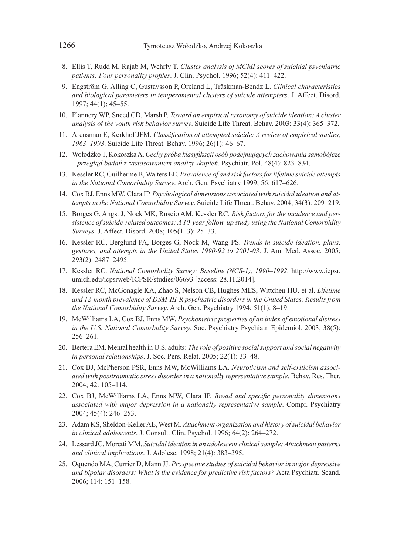- 8. Ellis T, Rudd M, Rajab M, Wehrly T. *Cluster analysis of MCMI scores of suicidal psychiatric patients: Four personality profiles*. J. Clin. Psychol. 1996; 52(4): 411–422.
- 9. Engström G, Alling C, Gustavsson P, Oreland L, Träskman-Bendz L. *Clinical characteristics and biological parameters in temperamental clusters of suicide attempters*. J. Affect. Disord. 1997; 44(1): 45–55.
- 10. Flannery WP, Sneed CD, Marsh P. *Toward an empirical taxonomy of suicide ideation: A cluster analysis of the youth risk behavior survey*. Suicide Life Threat. Behav. 2003; 33(4): 365–372.
- 11. Arensman E, Kerkhof JFM. *Classification of attempted suicide: A review of empirical studies, 1963–1993*. Suicide Life Threat. Behav. 1996; 26(1): 46–67.
- 12. Wołodźko T, Kokoszka A. *Cechy próba klasyfikacji osób podejmujących zachowania samobójcze – przegląd badań z zastosowaniem analizy skupień.* Psychiatr. Pol. 48(4): 823–834.
- 13. Kessler RC, Guilherme B, Walters EE. *Prevalence of and risk factors for lifetime suicide attempts in the National Comorbidity Survey*. Arch. Gen. Psychiatry 1999; 56: 617–626.
- 14. Cox BJ, Enns MW, Clara IP. *Psychological dimensions associated with suicidal ideation and attempts in the National Comorbidity Survey*. Suicide Life Threat. Behav. 2004; 34(3): 209–219.
- 15. Borges G, Angst J, Nock MK, Ruscio AM, Kessler RC. *Risk factors for the incidence and persistence of suicide-related outcomes: A 10-year follow-up study using the National Comorbidity Surveys*. J. Affect. Disord. 2008; 105(1–3): 25–33.
- 16. Kessler RC, Berglund PA, Borges G, Nock M, Wang PS. *Trends in suicide ideation, plans, gestures, and attempts in the United States 1990-92 to 2001-03*. J. Am. Med. Assoc. 2005; 293(2): 2487–2495.
- 17. Kessler RC. *National Comorbidity Survey: Baseline (NCS-1), 1990–1992.* http://www.icpsr. umich.edu/icpsrweb/ICPSR/studies/06693 [access: 28.11.2014].
- 18. Kessler RC, McGonagle KA, Zhao S, Nelson CB, Hughes MES, Wittchen HU. et al. *Lifetime and 12-month prevalence of DSM-III-R psychiatric disorders in the United States: Results from the National Comorbidity Survey*. Arch. Gen. Psychiatry 1994; 51(1): 8–19.
- 19. McWilliams LA, Cox BJ, Enns MW. *Psychometric properties of an index of emotional distress in the U.S. National Comorbidity Survey*. Soc. Psychiatry Psychiatr. Epidemiol. 2003; 38(5): 256–261.
- 20. Bertera EM. Mental health in U.S. adults: *The role of positive social support and social negativity in personal relationships*. J. Soc. Pers. Relat. 2005; 22(1): 33–48.
- 21. Cox BJ, McPherson PSR, Enns MW, McWilliams LA. *Neuroticism and self-criticism associated with posttraumatic stress disorder in a nationally representative sample*. Behav. Res. Ther. 2004; 42: 105–114.
- 22. Cox BJ, McWilliams LA, Enns MW, Clara IP. *Broad and specific personality dimensions associated with major depression in a nationally representative sample*. Compr. Psychiatry 2004; 45(4): 246–253.
- 23. Adam KS, Sheldon-Keller AE, West M. *Attachment organization and history of suicidal behavior in clinical adolescents*. J. Consult. Clin. Psychol. 1996; 64(2): 264–272.
- 24. Lessard JC, Moretti MM. *Suicidal ideation in an adolescent clinical sample: Attachment patterns and clinical implications*. J. Adolesc. 1998; 21(4): 383–395.
- 25. Oquendo MA, Currier D, Mann JJ. *Prospective studies of suicidal behavior in major depressive and bipolar disorders: What is the evidence for predictive risk factors?* Acta Psychiatr. Scand. 2006; 114: 151–158.